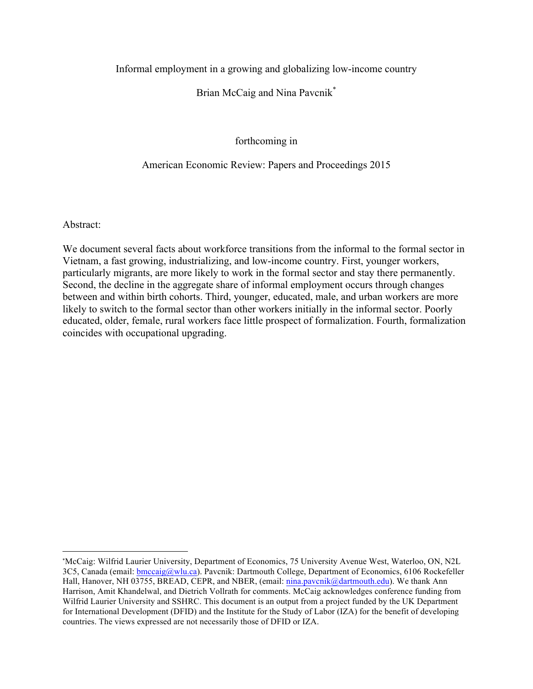# Informal employment in a growing and globalizing low-income country

# Brian McCaig and Nina Pavcnik<sup>\*</sup>

# forthcoming in

## American Economic Review: Papers and Proceedings 2015

Abstract:

 

We document several facts about workforce transitions from the informal to the formal sector in Vietnam, a fast growing, industrializing, and low-income country. First, younger workers, particularly migrants, are more likely to work in the formal sector and stay there permanently. Second, the decline in the aggregate share of informal employment occurs through changes between and within birth cohorts. Third, younger, educated, male, and urban workers are more likely to switch to the formal sector than other workers initially in the informal sector. Poorly educated, older, female, rural workers face little prospect of formalization. Fourth, formalization coincides with occupational upgrading.

<sup>\*</sup>McCaig: Wilfrid Laurier University, Department of Economics, 75 University Avenue West, Waterloo, ON, N2L 3C5, Canada (email: bmccaig@wlu.ca). Pavcnik: Dartmouth College, Department of Economics, 6106 Rockefeller Hall, Hanover, NH 03755, BREAD, CEPR, and NBER, (email: nina.pavcnik@dartmouth.edu). We thank Ann Harrison, Amit Khandelwal, and Dietrich Vollrath for comments. McCaig acknowledges conference funding from Wilfrid Laurier University and SSHRC. This document is an output from a project funded by the UK Department for International Development (DFID) and the Institute for the Study of Labor (IZA) for the benefit of developing countries. The views expressed are not necessarily those of DFID or IZA.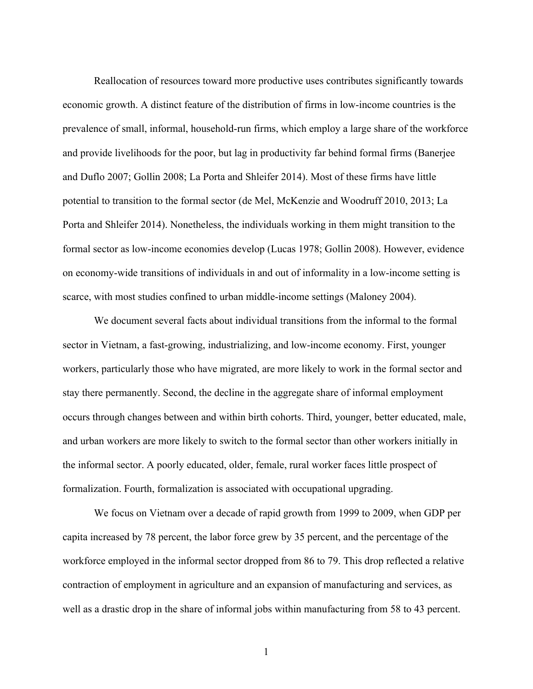Reallocation of resources toward more productive uses contributes significantly towards economic growth. A distinct feature of the distribution of firms in low-income countries is the prevalence of small, informal, household-run firms, which employ a large share of the workforce and provide livelihoods for the poor, but lag in productivity far behind formal firms (Banerjee and Duflo 2007; Gollin 2008; La Porta and Shleifer 2014). Most of these firms have little potential to transition to the formal sector (de Mel, McKenzie and Woodruff 2010, 2013; La Porta and Shleifer 2014). Nonetheless, the individuals working in them might transition to the formal sector as low-income economies develop (Lucas 1978; Gollin 2008). However, evidence on economy-wide transitions of individuals in and out of informality in a low-income setting is scarce, with most studies confined to urban middle-income settings (Maloney 2004).

We document several facts about individual transitions from the informal to the formal sector in Vietnam, a fast-growing, industrializing, and low-income economy. First, younger workers, particularly those who have migrated, are more likely to work in the formal sector and stay there permanently. Second, the decline in the aggregate share of informal employment occurs through changes between and within birth cohorts. Third, younger, better educated, male, and urban workers are more likely to switch to the formal sector than other workers initially in the informal sector. A poorly educated, older, female, rural worker faces little prospect of formalization. Fourth, formalization is associated with occupational upgrading.

We focus on Vietnam over a decade of rapid growth from 1999 to 2009, when GDP per capita increased by 78 percent, the labor force grew by 35 percent, and the percentage of the workforce employed in the informal sector dropped from 86 to 79. This drop reflected a relative contraction of employment in agriculture and an expansion of manufacturing and services, as well as a drastic drop in the share of informal jobs within manufacturing from 58 to 43 percent.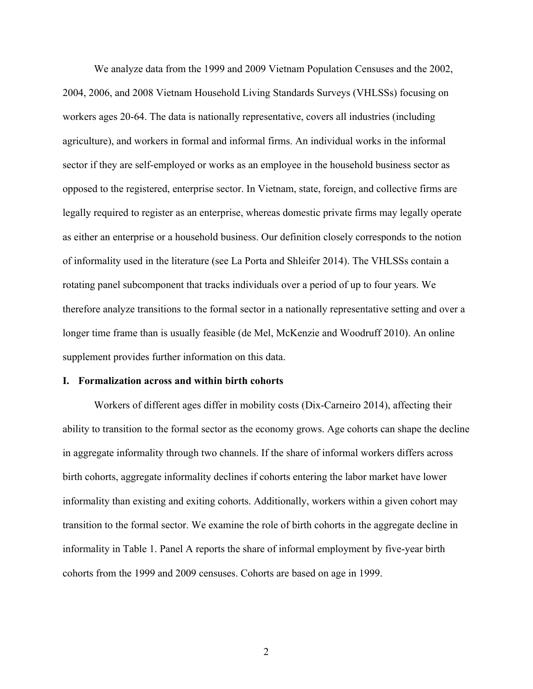We analyze data from the 1999 and 2009 Vietnam Population Censuses and the 2002, 2004, 2006, and 2008 Vietnam Household Living Standards Surveys (VHLSSs) focusing on workers ages 20-64. The data is nationally representative, covers all industries (including agriculture), and workers in formal and informal firms. An individual works in the informal sector if they are self-employed or works as an employee in the household business sector as opposed to the registered, enterprise sector. In Vietnam, state, foreign, and collective firms are legally required to register as an enterprise, whereas domestic private firms may legally operate as either an enterprise or a household business. Our definition closely corresponds to the notion of informality used in the literature (see La Porta and Shleifer 2014). The VHLSSs contain a rotating panel subcomponent that tracks individuals over a period of up to four years. We therefore analyze transitions to the formal sector in a nationally representative setting and over a longer time frame than is usually feasible (de Mel, McKenzie and Woodruff 2010). An online supplement provides further information on this data.

## **I. Formalization across and within birth cohorts**

Workers of different ages differ in mobility costs (Dix-Carneiro 2014), affecting their ability to transition to the formal sector as the economy grows. Age cohorts can shape the decline in aggregate informality through two channels. If the share of informal workers differs across birth cohorts, aggregate informality declines if cohorts entering the labor market have lower informality than existing and exiting cohorts. Additionally, workers within a given cohort may transition to the formal sector. We examine the role of birth cohorts in the aggregate decline in informality in Table 1. Panel A reports the share of informal employment by five-year birth cohorts from the 1999 and 2009 censuses. Cohorts are based on age in 1999.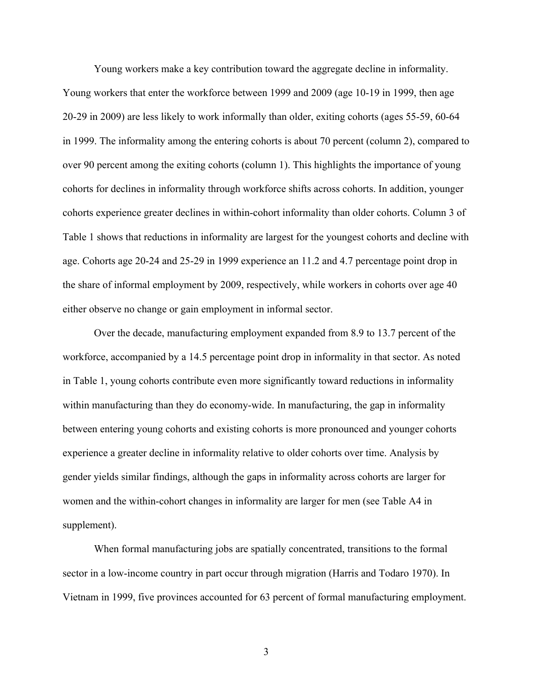Young workers make a key contribution toward the aggregate decline in informality. Young workers that enter the workforce between 1999 and 2009 (age 10-19 in 1999, then age 20-29 in 2009) are less likely to work informally than older, exiting cohorts (ages 55-59, 60-64 in 1999. The informality among the entering cohorts is about 70 percent (column 2), compared to over 90 percent among the exiting cohorts (column 1). This highlights the importance of young cohorts for declines in informality through workforce shifts across cohorts. In addition, younger cohorts experience greater declines in within-cohort informality than older cohorts. Column 3 of Table 1 shows that reductions in informality are largest for the youngest cohorts and decline with age. Cohorts age 20-24 and 25-29 in 1999 experience an 11.2 and 4.7 percentage point drop in the share of informal employment by 2009, respectively, while workers in cohorts over age 40 either observe no change or gain employment in informal sector.

Over the decade, manufacturing employment expanded from 8.9 to 13.7 percent of the workforce, accompanied by a 14.5 percentage point drop in informality in that sector. As noted in Table 1, young cohorts contribute even more significantly toward reductions in informality within manufacturing than they do economy-wide. In manufacturing, the gap in informality between entering young cohorts and existing cohorts is more pronounced and younger cohorts experience a greater decline in informality relative to older cohorts over time. Analysis by gender yields similar findings, although the gaps in informality across cohorts are larger for women and the within-cohort changes in informality are larger for men (see Table A4 in supplement).

When formal manufacturing jobs are spatially concentrated, transitions to the formal sector in a low-income country in part occur through migration (Harris and Todaro 1970). In Vietnam in 1999, five provinces accounted for 63 percent of formal manufacturing employment.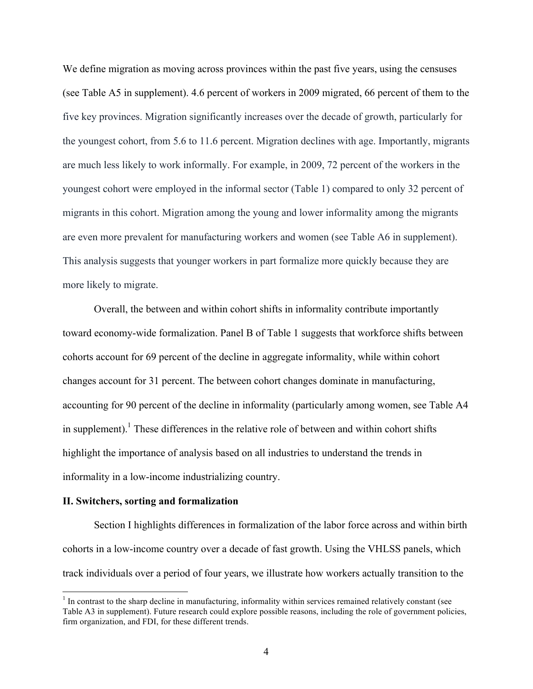We define migration as moving across provinces within the past five years, using the censuses (see Table A5 in supplement). 4.6 percent of workers in 2009 migrated, 66 percent of them to the five key provinces. Migration significantly increases over the decade of growth, particularly for the youngest cohort, from 5.6 to 11.6 percent. Migration declines with age. Importantly, migrants are much less likely to work informally. For example, in 2009, 72 percent of the workers in the youngest cohort were employed in the informal sector (Table 1) compared to only 32 percent of migrants in this cohort. Migration among the young and lower informality among the migrants are even more prevalent for manufacturing workers and women (see Table A6 in supplement). This analysis suggests that younger workers in part formalize more quickly because they are more likely to migrate.

Overall, the between and within cohort shifts in informality contribute importantly toward economy-wide formalization. Panel B of Table 1 suggests that workforce shifts between cohorts account for 69 percent of the decline in aggregate informality, while within cohort changes account for 31 percent. The between cohort changes dominate in manufacturing, accounting for 90 percent of the decline in informality (particularly among women, see Table A4 in supplement).<sup>1</sup> These differences in the relative role of between and within cohort shifts highlight the importance of analysis based on all industries to understand the trends in informality in a low-income industrializing country.

#### **II. Switchers, sorting and formalization**

Section I highlights differences in formalization of the labor force across and within birth cohorts in a low-income country over a decade of fast growth. Using the VHLSS panels, which track individuals over a period of four years, we illustrate how workers actually transition to the

<sup>&</sup>lt;sup>1</sup> In contrast to the sharp decline in manufacturing, informality within services remained relatively constant (see Table A3 in supplement). Future research could explore possible reasons, including the role of government policies, firm organization, and FDI, for these different trends.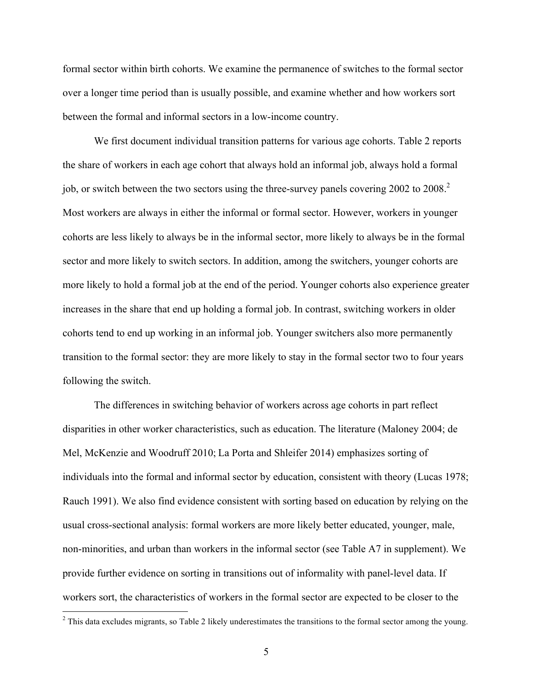formal sector within birth cohorts. We examine the permanence of switches to the formal sector over a longer time period than is usually possible, and examine whether and how workers sort between the formal and informal sectors in a low-income country.

We first document individual transition patterns for various age cohorts. Table 2 reports the share of workers in each age cohort that always hold an informal job, always hold a formal job, or switch between the two sectors using the three-survey panels covering 2002 to 2008.<sup>2</sup> Most workers are always in either the informal or formal sector. However, workers in younger cohorts are less likely to always be in the informal sector, more likely to always be in the formal sector and more likely to switch sectors. In addition, among the switchers, younger cohorts are more likely to hold a formal job at the end of the period. Younger cohorts also experience greater increases in the share that end up holding a formal job. In contrast, switching workers in older cohorts tend to end up working in an informal job. Younger switchers also more permanently transition to the formal sector: they are more likely to stay in the formal sector two to four years following the switch.

The differences in switching behavior of workers across age cohorts in part reflect disparities in other worker characteristics, such as education. The literature (Maloney 2004; de Mel, McKenzie and Woodruff 2010; La Porta and Shleifer 2014) emphasizes sorting of individuals into the formal and informal sector by education, consistent with theory (Lucas 1978; Rauch 1991). We also find evidence consistent with sorting based on education by relying on the usual cross-sectional analysis: formal workers are more likely better educated, younger, male, non-minorities, and urban than workers in the informal sector (see Table A7 in supplement). We provide further evidence on sorting in transitions out of informality with panel-level data. If workers sort, the characteristics of workers in the formal sector are expected to be closer to the

 $2$  This data excludes migrants, so Table 2 likely underestimates the transitions to the formal sector among the young.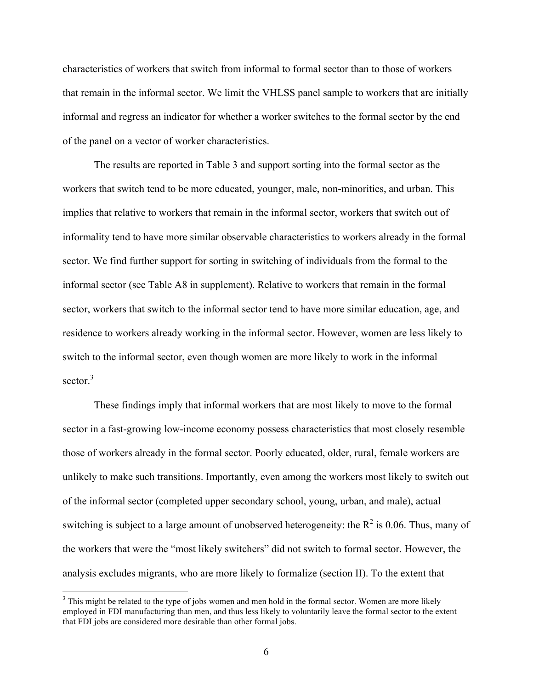characteristics of workers that switch from informal to formal sector than to those of workers that remain in the informal sector. We limit the VHLSS panel sample to workers that are initially informal and regress an indicator for whether a worker switches to the formal sector by the end of the panel on a vector of worker characteristics.

The results are reported in Table 3 and support sorting into the formal sector as the workers that switch tend to be more educated, younger, male, non-minorities, and urban. This implies that relative to workers that remain in the informal sector, workers that switch out of informality tend to have more similar observable characteristics to workers already in the formal sector. We find further support for sorting in switching of individuals from the formal to the informal sector (see Table A8 in supplement). Relative to workers that remain in the formal sector, workers that switch to the informal sector tend to have more similar education, age, and residence to workers already working in the informal sector. However, women are less likely to switch to the informal sector, even though women are more likely to work in the informal sector. 3

These findings imply that informal workers that are most likely to move to the formal sector in a fast-growing low-income economy possess characteristics that most closely resemble those of workers already in the formal sector. Poorly educated, older, rural, female workers are unlikely to make such transitions. Importantly, even among the workers most likely to switch out of the informal sector (completed upper secondary school, young, urban, and male), actual switching is subject to a large amount of unobserved heterogeneity: the  $R^2$  is 0.06. Thus, many of the workers that were the "most likely switchers" did not switch to formal sector. However, the analysis excludes migrants, who are more likely to formalize (section II). To the extent that

<sup>&</sup>lt;sup>3</sup> This might be related to the type of jobs women and men hold in the formal sector. Women are more likely employed in FDI manufacturing than men, and thus less likely to voluntarily leave the formal sector to the extent that FDI jobs are considered more desirable than other formal jobs.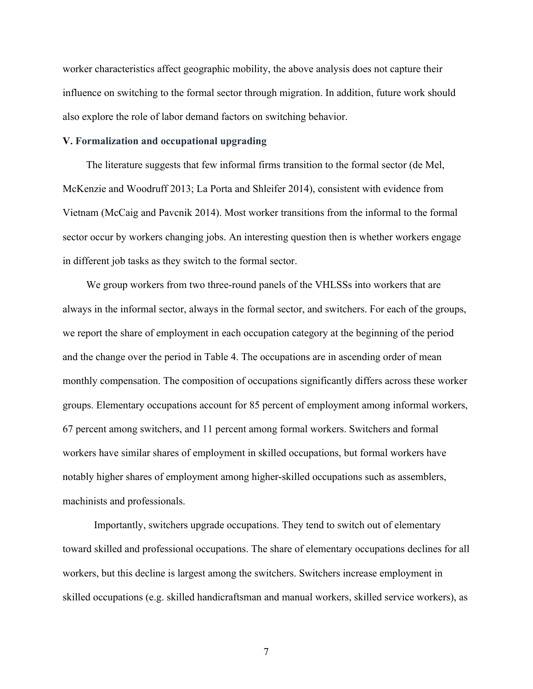worker characteristics affect geographic mobility, the above analysis does not capture their influence on switching to the formal sector through migration. In addition, future work should also explore the role of labor demand factors on switching behavior.

## **V. Formalization and occupational upgrading**

The literature suggests that few informal firms transition to the formal sector (de Mel, McKenzie and Woodruff 2013; La Porta and Shleifer 2014), consistent with evidence from Vietnam (McCaig and Pavcnik 2014). Most worker transitions from the informal to the formal sector occur by workers changing jobs. An interesting question then is whether workers engage in different job tasks as they switch to the formal sector.

We group workers from two three-round panels of the VHLSSs into workers that are always in the informal sector, always in the formal sector, and switchers. For each of the groups, we report the share of employment in each occupation category at the beginning of the period and the change over the period in Table 4. The occupations are in ascending order of mean monthly compensation. The composition of occupations significantly differs across these worker groups. Elementary occupations account for 85 percent of employment among informal workers, 67 percent among switchers, and 11 percent among formal workers. Switchers and formal workers have similar shares of employment in skilled occupations, but formal workers have notably higher shares of employment among higher-skilled occupations such as assemblers, machinists and professionals.

Importantly, switchers upgrade occupations. They tend to switch out of elementary toward skilled and professional occupations. The share of elementary occupations declines for all workers, but this decline is largest among the switchers. Switchers increase employment in skilled occupations (e.g. skilled handicraftsman and manual workers, skilled service workers), as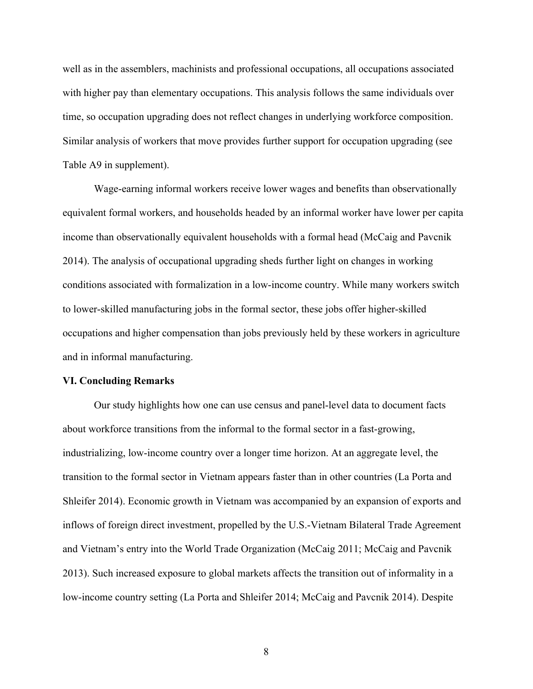well as in the assemblers, machinists and professional occupations, all occupations associated with higher pay than elementary occupations. This analysis follows the same individuals over time, so occupation upgrading does not reflect changes in underlying workforce composition. Similar analysis of workers that move provides further support for occupation upgrading (see Table A9 in supplement).

Wage-earning informal workers receive lower wages and benefits than observationally equivalent formal workers, and households headed by an informal worker have lower per capita income than observationally equivalent households with a formal head (McCaig and Pavcnik 2014). The analysis of occupational upgrading sheds further light on changes in working conditions associated with formalization in a low-income country. While many workers switch to lower-skilled manufacturing jobs in the formal sector, these jobs offer higher-skilled occupations and higher compensation than jobs previously held by these workers in agriculture and in informal manufacturing.

#### **VI. Concluding Remarks**

Our study highlights how one can use census and panel-level data to document facts about workforce transitions from the informal to the formal sector in a fast-growing, industrializing, low-income country over a longer time horizon. At an aggregate level, the transition to the formal sector in Vietnam appears faster than in other countries (La Porta and Shleifer 2014). Economic growth in Vietnam was accompanied by an expansion of exports and inflows of foreign direct investment, propelled by the U.S.-Vietnam Bilateral Trade Agreement and Vietnam's entry into the World Trade Organization (McCaig 2011; McCaig and Pavcnik 2013). Such increased exposure to global markets affects the transition out of informality in a low-income country setting (La Porta and Shleifer 2014; McCaig and Pavcnik 2014). Despite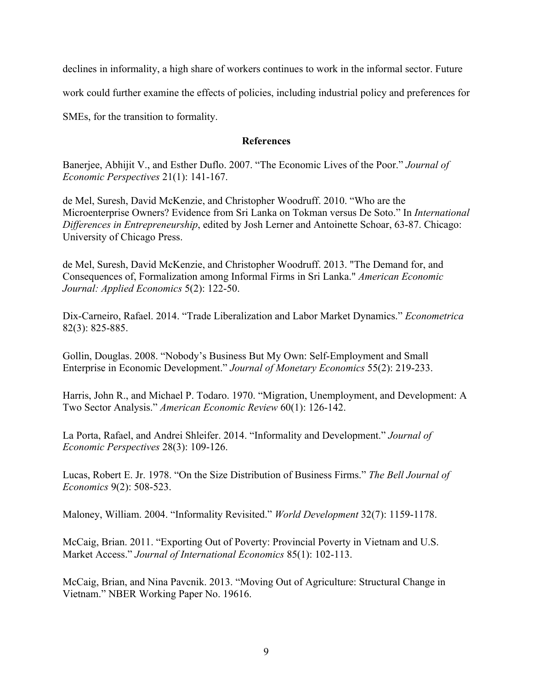declines in informality, a high share of workers continues to work in the informal sector. Future

work could further examine the effects of policies, including industrial policy and preferences for

SMEs, for the transition to formality.

## **References**

Banerjee, Abhijit V., and Esther Duflo. 2007. "The Economic Lives of the Poor." *Journal of Economic Perspectives* 21(1): 141-167.

de Mel, Suresh, David McKenzie, and Christopher Woodruff. 2010. "Who are the Microenterprise Owners? Evidence from Sri Lanka on Tokman versus De Soto." In *International Differences in Entrepreneurship*, edited by Josh Lerner and Antoinette Schoar, 63-87. Chicago: University of Chicago Press.

de Mel, Suresh, David McKenzie, and Christopher Woodruff. 2013. "The Demand for, and Consequences of, Formalization among Informal Firms in Sri Lanka." *American Economic Journal: Applied Economics* 5(2): 122-50.

Dix-Carneiro, Rafael. 2014. "Trade Liberalization and Labor Market Dynamics." *Econometrica* 82(3): 825-885.

Gollin, Douglas. 2008. "Nobody's Business But My Own: Self-Employment and Small Enterprise in Economic Development." *Journal of Monetary Economics* 55(2): 219-233.

Harris, John R., and Michael P. Todaro. 1970. "Migration, Unemployment, and Development: A Two Sector Analysis." *American Economic Review* 60(1): 126-142.

La Porta, Rafael, and Andrei Shleifer. 2014. "Informality and Development." *Journal of Economic Perspectives* 28(3): 109-126.

Lucas, Robert E. Jr. 1978. "On the Size Distribution of Business Firms." *The Bell Journal of Economics* 9(2): 508-523.

Maloney, William. 2004. "Informality Revisited." *World Development* 32(7): 1159-1178.

McCaig, Brian. 2011. "Exporting Out of Poverty: Provincial Poverty in Vietnam and U.S. Market Access." *Journal of International Economics* 85(1): 102-113.

McCaig, Brian, and Nina Pavcnik. 2013. "Moving Out of Agriculture: Structural Change in Vietnam." NBER Working Paper No. 19616.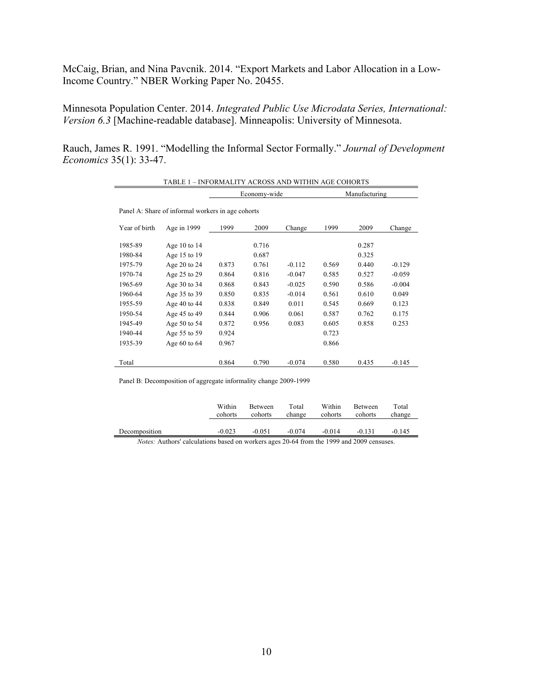McCaig, Brian, and Nina Pavcnik. 2014. "Export Markets and Labor Allocation in a Low-Income Country." NBER Working Paper No. 20455.

Minnesota Population Center. 2014. *Integrated Public Use Microdata Series, International: Version 6.3* [Machine-readable database]. Minneapolis: University of Minnesota.

Rauch, James R. 1991. "Modelling the Informal Sector Formally." *Journal of Development Economics* 35(1): 33-47.

| TABLE 1 - INFORMALITY ACROSS AND WITHIN AGE COHORTS |                  |       |              |          |               |       |          |  |  |  |  |
|-----------------------------------------------------|------------------|-------|--------------|----------|---------------|-------|----------|--|--|--|--|
|                                                     |                  |       | Economy-wide |          | Manufacturing |       |          |  |  |  |  |
| Panel A: Share of informal workers in age cohorts   |                  |       |              |          |               |       |          |  |  |  |  |
| Year of birth                                       | Age in 1999      | 1999  | 2009         | Change   | 1999          | 2009  | Change   |  |  |  |  |
| 1985-89                                             | Age 10 to $14$   |       | 0.716        |          |               | 0.287 |          |  |  |  |  |
| 1980-84                                             | Age 15 to 19     |       | 0.687        |          |               | 0.325 |          |  |  |  |  |
| 1975-79                                             | Age 20 to $24$   | 0.873 | 0.761        | $-0.112$ | 0.569         | 0.440 | $-0.129$ |  |  |  |  |
| 1970-74                                             | Age 25 to 29     | 0.864 | 0.816        | $-0.047$ | 0.585         | 0.527 | $-0.059$ |  |  |  |  |
| 1965-69                                             | Age 30 to 34     | 0.868 | 0.843        | $-0.025$ | 0.590         | 0.586 | $-0.004$ |  |  |  |  |
| 1960-64                                             | Age 35 to 39     | 0.850 | 0.835        | $-0.014$ | 0.561         | 0.610 | 0.049    |  |  |  |  |
| 1955-59                                             | Age 40 to 44     | 0.838 | 0.849        | 0.011    | 0.545         | 0.669 | 0.123    |  |  |  |  |
| 1950-54                                             | Age 45 to 49     | 0.844 | 0.906        | 0.061    | 0.587         | 0.762 | 0.175    |  |  |  |  |
| 1945-49                                             | Age 50 to 54     | 0.872 | 0.956        | 0.083    | 0.605         | 0.858 | 0.253    |  |  |  |  |
| 1940-44                                             | Age 55 to 59     | 0.924 |              |          | 0.723         |       |          |  |  |  |  |
| 1935-39                                             | Age $60$ to $64$ | 0.967 |              |          | 0.866         |       |          |  |  |  |  |
| Total                                               |                  | 0.864 | 0.790        | $-0.074$ | 0.580         | 0.435 | $-0.145$ |  |  |  |  |

Panel B: Decomposition of aggregate informality change 2009-1999

|                                                | Within<br>cohorts | Between<br>cohorts | Total<br>change | Within<br>cohorts | Between<br>cohorts | Total<br>change |
|------------------------------------------------|-------------------|--------------------|-----------------|-------------------|--------------------|-----------------|
| Decomposition                                  | $-0.023$          | $-0.051$           | $-0.074$        | $-0.014$          | $-0.131$           | $-0.145$        |
| $\mathbf{v}$ and $\mathbf{v}$ and $\mathbf{v}$ |                   |                    | $20 \times 10$  | 1.1000            | 1.2000             |                 |

*Notes:* Authors' calculations based on workers ages 20-64 from the 1999 and 2009 censuses.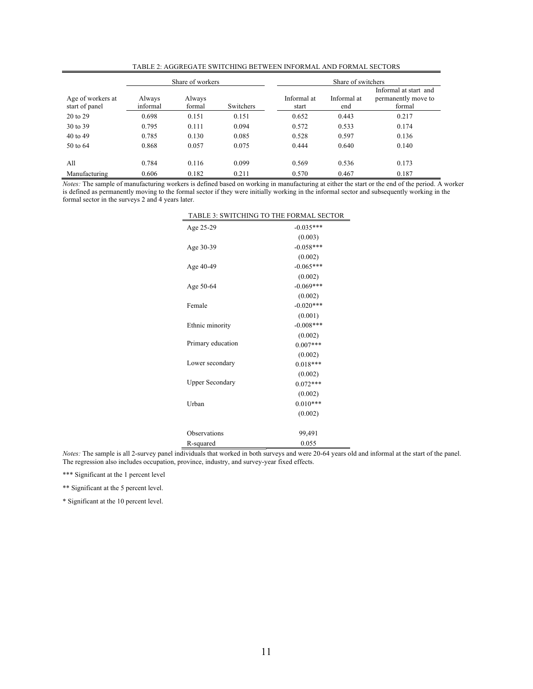|                                     |                    | Share of workers |           | Share of switchers   |                    |                                                        |  |  |  |
|-------------------------------------|--------------------|------------------|-----------|----------------------|--------------------|--------------------------------------------------------|--|--|--|
| Age of workers at<br>start of panel | Always<br>informal | Always<br>formal | Switchers | Informal at<br>start | Informal at<br>end | Informal at start and<br>permanently move to<br>formal |  |  |  |
| 20 to 29                            | 0.698              | 0.151            | 0.151     | 0.652                | 0.443              | 0.217                                                  |  |  |  |
| 30 to 39                            | 0.795              | 0.111            | 0.094     | 0.572                | 0.533              | 0.174                                                  |  |  |  |
| 40 to 49                            | 0.785              | 0.130            | 0.085     | 0.528                | 0.597              | 0.136                                                  |  |  |  |
| 50 to 64                            | 0.868              | 0.057            | 0.075     | 0.444                | 0.640              | 0.140                                                  |  |  |  |
| A11                                 | 0.784              | 0.116            | 0.099     | 0.569                | 0.536              | 0.173                                                  |  |  |  |
| Manufacturing                       | 0.606              | 0.182            | 0.211     | 0.570                | 0.467              | 0.187                                                  |  |  |  |

TABLE 2: AGGREGATE SWITCHING BETWEEN INFORMAL AND FORMAL SECTORS

*Notes:* The sample of manufacturing workers is defined based on working in manufacturing at either the start or the end of the period. A worker is defined as permanently moving to the formal sector if they were initially working in the informal sector and subsequently working in the formal sector in the surveys 2 and 4 years later.

| TABLE 3: SWITCHING TO THE FORMAL SECTOR |             |
|-----------------------------------------|-------------|
| Age 25-29                               | $-0.035***$ |
|                                         | (0.003)     |
| Age 30-39                               | $-0.058***$ |
|                                         | (0.002)     |
| Age 40-49                               | $-0.065***$ |
|                                         | (0.002)     |
| Age 50-64                               | $-0.069***$ |
|                                         | (0.002)     |
| Female                                  | $-0.020***$ |
|                                         | (0.001)     |
| Ethnic minority                         | $-0.008***$ |
|                                         | (0.002)     |
| Primary education                       | $0.007***$  |
|                                         | (0.002)     |
| Lower secondary                         | $0.018***$  |
|                                         | (0.002)     |
| <b>Upper Secondary</b>                  | $0.072***$  |
|                                         | (0.002)     |
| Urban                                   | $0.010***$  |
|                                         | (0.002)     |
| Observations                            | 99,491      |
| R-squared                               | 0.055       |

*Notes:* The sample is all 2-survey panel individuals that worked in both surveys and were 20-64 years old and informal at the start of the panel. The regression also includes occupation, province, industry, and survey-year fixed effects.

\*\*\* Significant at the 1 percent level

\*\* Significant at the 5 percent level.

\* Significant at the 10 percent level.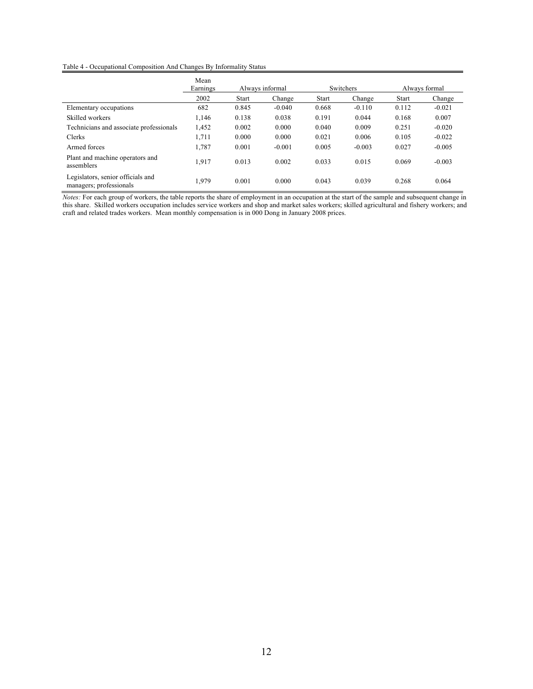#### Table 4 - Occupational Composition And Changes By Informality Status

|                                                              | Mean<br>Earnings |              | Always informal |              | Switchers | Always formal |          |  |
|--------------------------------------------------------------|------------------|--------------|-----------------|--------------|-----------|---------------|----------|--|
|                                                              | 2002             | <b>Start</b> | Change          | <b>Start</b> | Change    | <b>Start</b>  | Change   |  |
| Elementary occupations                                       | 682              | 0.845        | $-0.040$        | 0.668        | $-0.110$  | 0.112         | $-0.021$ |  |
| Skilled workers                                              | 1,146            | 0.138        | 0.038           | 0.191        | 0.044     | 0.168         | 0.007    |  |
| Technicians and associate professionals                      | 1,452            | 0.002        | 0.000           | 0.040        | 0.009     | 0.251         | $-0.020$ |  |
| Clerks                                                       | 1,711            | 0.000        | 0.000           | 0.021        | 0.006     | 0.105         | $-0.022$ |  |
| Armed forces                                                 | 1,787            | 0.001        | $-0.001$        | 0.005        | $-0.003$  | 0.027         | $-0.005$ |  |
| Plant and machine operators and<br>assemblers                | 1,917            | 0.013        | 0.002           | 0.033        | 0.015     | 0.069         | $-0.003$ |  |
| Legislators, senior officials and<br>managers; professionals | 1,979            | 0.001        | 0.000           | 0.043        | 0.039     | 0.268         | 0.064    |  |

*Notes:* For each group of workers, the table reports the share of employment in an occupation at the start of the sample and subsequent change in this share. Skilled workers occupation includes service workers and shop and market sales workers; skilled agricultural and fishery workers; and craft and related trades workers. Mean monthly compensation is in 000 Dong in January 2008 prices.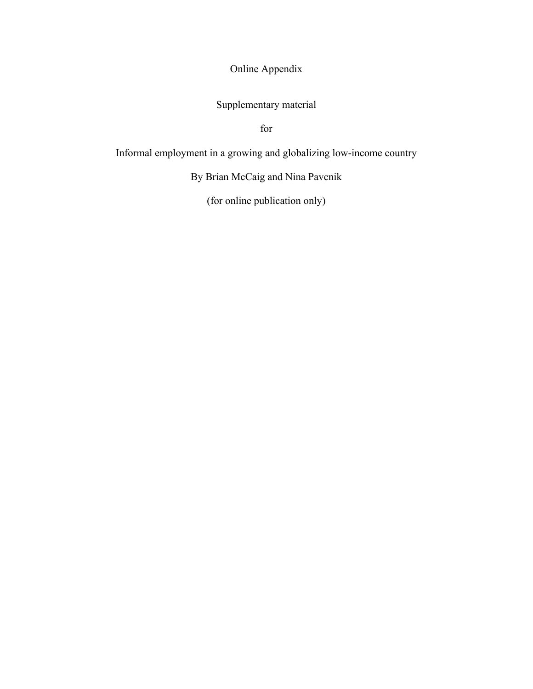Online Appendix

Supplementary material

for

Informal employment in a growing and globalizing low-income country

By Brian McCaig and Nina Pavcnik

(for online publication only)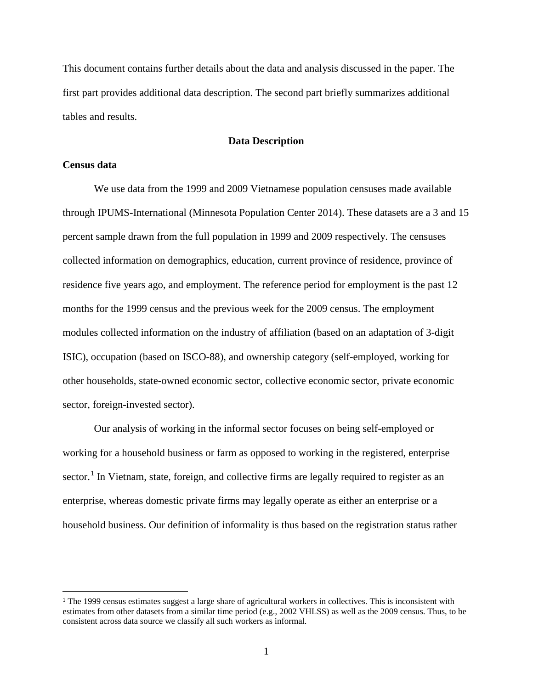This document contains further details about the data and analysis discussed in the paper. The first part provides additional data description. The second part briefly summarizes additional tables and results.

## **Data Description**

### **Census data**

We use data from the 1999 and 2009 Vietnamese population censuses made available through IPUMS-International (Minnesota Population Center 2014). These datasets are a 3 and 15 percent sample drawn from the full population in 1999 and 2009 respectively. The censuses collected information on demographics, education, current province of residence, province of residence five years ago, and employment. The reference period for employment is the past 12 months for the 1999 census and the previous week for the 2009 census. The employment modules collected information on the industry of affiliation (based on an adaptation of 3-digit ISIC), occupation (based on ISCO-88), and ownership category (self-employed, working for other households, state-owned economic sector, collective economic sector, private economic sector, foreign-invested sector).

Our analysis of working in the informal sector focuses on being self-employed or working for a household business or farm as opposed to working in the registered, enterprise sector.<sup>[1](#page-14-0)</sup> In Vietnam, state, foreign, and collective firms are legally required to register as an enterprise, whereas domestic private firms may legally operate as either an enterprise or a household business. Our definition of informality is thus based on the registration status rather

<span id="page-14-0"></span> <sup>1</sup> The 1999 census estimates suggest a large share of agricultural workers in collectives. This is inconsistent with estimates from other datasets from a similar time period (e.g., 2002 VHLSS) as well as the 2009 census. Thus, to be consistent across data source we classify all such workers as informal.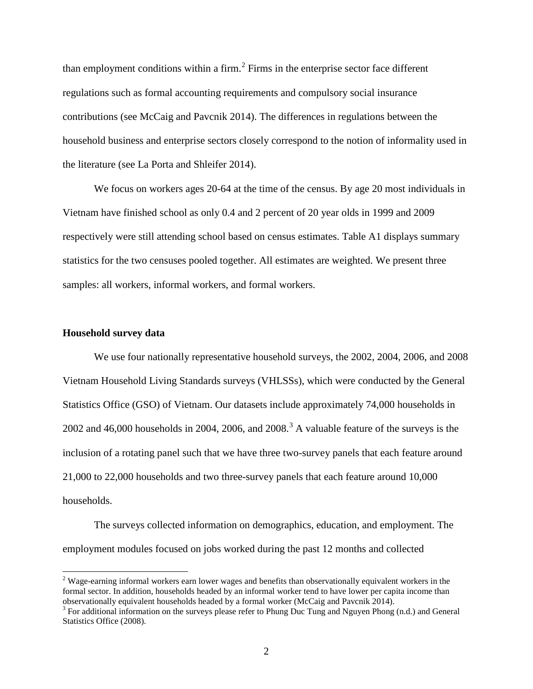than employment conditions within a firm.<sup>[2](#page-15-0)</sup> Firms in the enterprise sector face different regulations such as formal accounting requirements and compulsory social insurance contributions (see McCaig and Pavcnik 2014). The differences in regulations between the household business and enterprise sectors closely correspond to the notion of informality used in the literature (see La Porta and Shleifer 2014).

We focus on workers ages 20-64 at the time of the census. By age 20 most individuals in Vietnam have finished school as only 0.4 and 2 percent of 20 year olds in 1999 and 2009 respectively were still attending school based on census estimates. Table A1 displays summary statistics for the two censuses pooled together. All estimates are weighted. We present three samples: all workers, informal workers, and formal workers.

#### **Household survey data**

We use four nationally representative household surveys, the 2002, 2004, 2006, and 2008 Vietnam Household Living Standards surveys (VHLSSs), which were conducted by the General Statistics Office (GSO) of Vietnam. Our datasets include approximately 74,000 households in 2002 and 46,000 households in 2004, 2006, and 2008.<sup>[3](#page-15-1)</sup> A valuable feature of the surveys is the inclusion of a rotating panel such that we have three two-survey panels that each feature around 21,000 to 22,000 households and two three-survey panels that each feature around 10,000 households.

The surveys collected information on demographics, education, and employment. The employment modules focused on jobs worked during the past 12 months and collected

<span id="page-15-0"></span><sup>&</sup>lt;sup>2</sup> Wage-earning informal workers earn lower wages and benefits than observationally equivalent workers in the formal sector. In addition, households headed by an informal worker tend to have lower per capita income than observationally equivalent households headed by a formal worker (McCaig and Pavcnik 2014).<br><sup>3</sup> For additional information on the surveys please refer to Phung Duc Tung and Nguyen Phong (n.d.) and General

<span id="page-15-1"></span>Statistics Office (2008).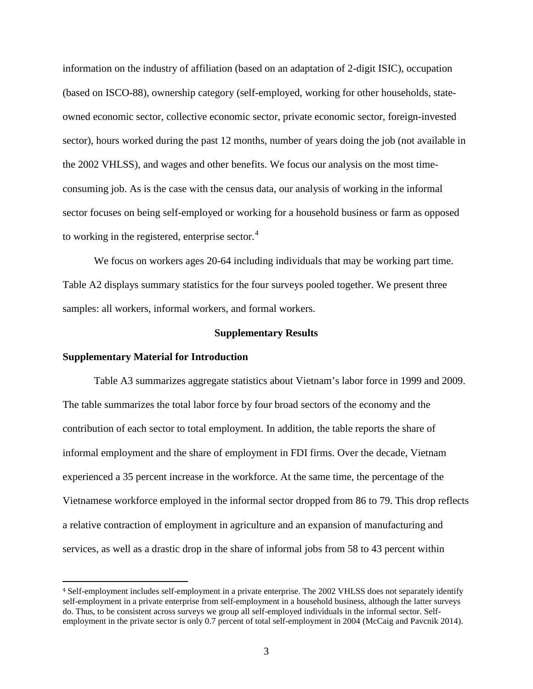information on the industry of affiliation (based on an adaptation of 2-digit ISIC), occupation (based on ISCO-88), ownership category (self-employed, working for other households, stateowned economic sector, collective economic sector, private economic sector, foreign-invested sector), hours worked during the past 12 months, number of years doing the job (not available in the 2002 VHLSS), and wages and other benefits. We focus our analysis on the most timeconsuming job. As is the case with the census data, our analysis of working in the informal sector focuses on being self-employed or working for a household business or farm as opposed to working in the registered, enterprise sector.<sup>[4](#page-16-0)</sup>

We focus on workers ages 20-64 including individuals that may be working part time. Table A2 displays summary statistics for the four surveys pooled together. We present three samples: all workers, informal workers, and formal workers.

#### **Supplementary Results**

### **Supplementary Material for Introduction**

Table A3 summarizes aggregate statistics about Vietnam's labor force in 1999 and 2009. The table summarizes the total labor force by four broad sectors of the economy and the contribution of each sector to total employment. In addition, the table reports the share of informal employment and the share of employment in FDI firms. Over the decade, Vietnam experienced a 35 percent increase in the workforce. At the same time, the percentage of the Vietnamese workforce employed in the informal sector dropped from 86 to 79. This drop reflects a relative contraction of employment in agriculture and an expansion of manufacturing and services, as well as a drastic drop in the share of informal jobs from 58 to 43 percent within

<span id="page-16-0"></span> <sup>4</sup> Self-employment includes self-employment in a private enterprise. The 2002 VHLSS does not separately identify self-employment in a private enterprise from self-employment in a household business, although the latter surveys do. Thus, to be consistent across surveys we group all self-employed individuals in the informal sector. Selfemployment in the private sector is only 0.7 percent of total self-employment in 2004 (McCaig and Pavcnik 2014).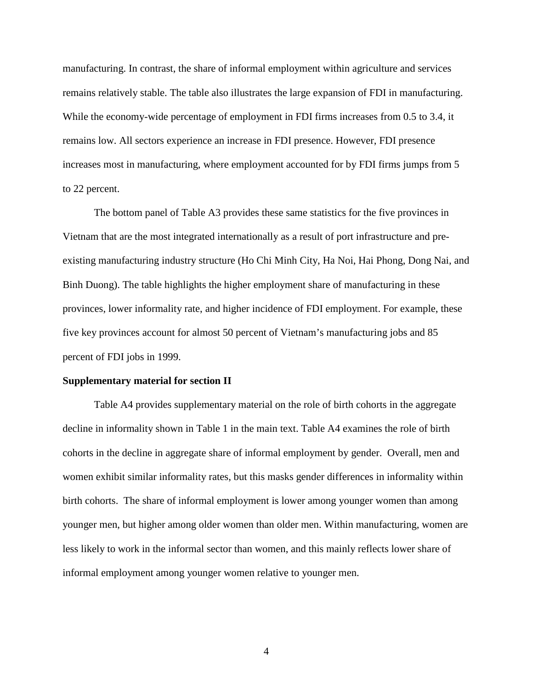manufacturing. In contrast, the share of informal employment within agriculture and services remains relatively stable. The table also illustrates the large expansion of FDI in manufacturing. While the economy-wide percentage of employment in FDI firms increases from 0.5 to 3.4, it remains low. All sectors experience an increase in FDI presence. However, FDI presence increases most in manufacturing, where employment accounted for by FDI firms jumps from 5 to 22 percent.

The bottom panel of Table A3 provides these same statistics for the five provinces in Vietnam that are the most integrated internationally as a result of port infrastructure and preexisting manufacturing industry structure (Ho Chi Minh City, Ha Noi, Hai Phong, Dong Nai, and Binh Duong). The table highlights the higher employment share of manufacturing in these provinces, lower informality rate, and higher incidence of FDI employment. For example, these five key provinces account for almost 50 percent of Vietnam's manufacturing jobs and 85 percent of FDI jobs in 1999.

#### **Supplementary material for section II**

Table A4 provides supplementary material on the role of birth cohorts in the aggregate decline in informality shown in Table 1 in the main text. Table A4 examines the role of birth cohorts in the decline in aggregate share of informal employment by gender. Overall, men and women exhibit similar informality rates, but this masks gender differences in informality within birth cohorts. The share of informal employment is lower among younger women than among younger men, but higher among older women than older men. Within manufacturing, women are less likely to work in the informal sector than women, and this mainly reflects lower share of informal employment among younger women relative to younger men.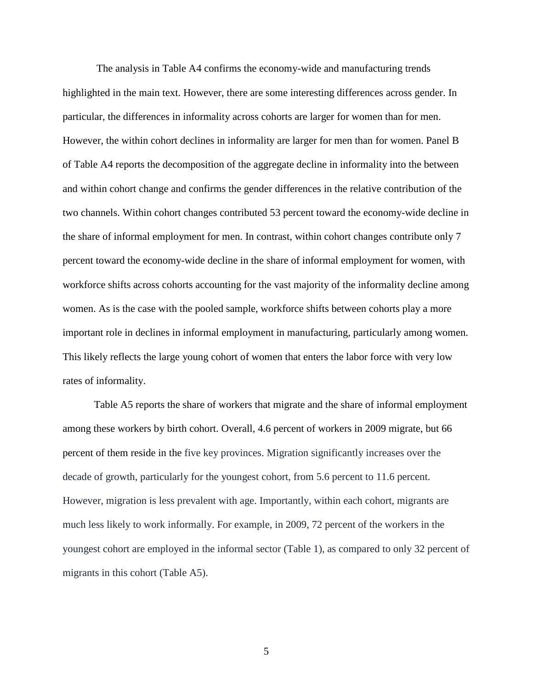The analysis in Table A4 confirms the economy-wide and manufacturing trends highlighted in the main text. However, there are some interesting differences across gender. In particular, the differences in informality across cohorts are larger for women than for men. However, the within cohort declines in informality are larger for men than for women. Panel B of Table A4 reports the decomposition of the aggregate decline in informality into the between and within cohort change and confirms the gender differences in the relative contribution of the two channels. Within cohort changes contributed 53 percent toward the economy-wide decline in the share of informal employment for men. In contrast, within cohort changes contribute only 7 percent toward the economy-wide decline in the share of informal employment for women, with workforce shifts across cohorts accounting for the vast majority of the informality decline among women. As is the case with the pooled sample, workforce shifts between cohorts play a more important role in declines in informal employment in manufacturing, particularly among women. This likely reflects the large young cohort of women that enters the labor force with very low rates of informality.

Table A5 reports the share of workers that migrate and the share of informal employment among these workers by birth cohort. Overall, 4.6 percent of workers in 2009 migrate, but 66 percent of them reside in the five key provinces. Migration significantly increases over the decade of growth, particularly for the youngest cohort, from 5.6 percent to 11.6 percent. However, migration is less prevalent with age. Importantly, within each cohort, migrants are much less likely to work informally. For example, in 2009, 72 percent of the workers in the youngest cohort are employed in the informal sector (Table 1), as compared to only 32 percent of migrants in this cohort (Table A5).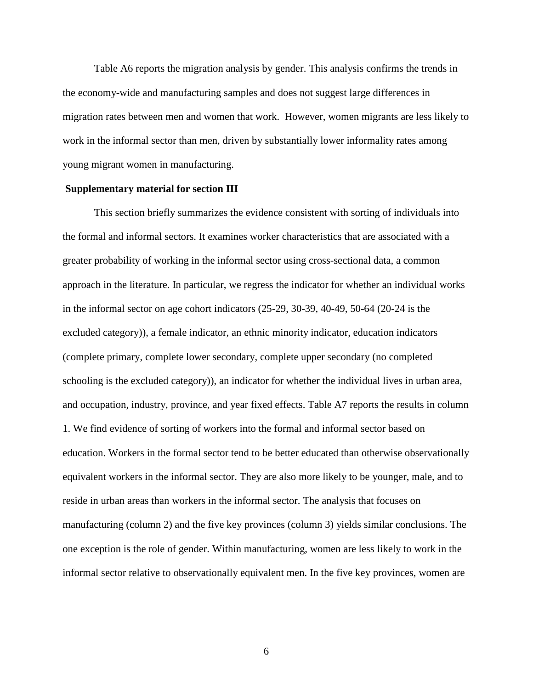Table A6 reports the migration analysis by gender. This analysis confirms the trends in the economy-wide and manufacturing samples and does not suggest large differences in migration rates between men and women that work. However, women migrants are less likely to work in the informal sector than men, driven by substantially lower informality rates among young migrant women in manufacturing.

#### **Supplementary material for section III**

This section briefly summarizes the evidence consistent with sorting of individuals into the formal and informal sectors. It examines worker characteristics that are associated with a greater probability of working in the informal sector using cross-sectional data, a common approach in the literature. In particular, we regress the indicator for whether an individual works in the informal sector on age cohort indicators (25-29, 30-39, 40-49, 50-64 (20-24 is the excluded category)), a female indicator, an ethnic minority indicator, education indicators (complete primary, complete lower secondary, complete upper secondary (no completed schooling is the excluded category)), an indicator for whether the individual lives in urban area, and occupation, industry, province, and year fixed effects. Table A7 reports the results in column 1. We find evidence of sorting of workers into the formal and informal sector based on education. Workers in the formal sector tend to be better educated than otherwise observationally equivalent workers in the informal sector. They are also more likely to be younger, male, and to reside in urban areas than workers in the informal sector. The analysis that focuses on manufacturing (column 2) and the five key provinces (column 3) yields similar conclusions. The one exception is the role of gender. Within manufacturing, women are less likely to work in the informal sector relative to observationally equivalent men. In the five key provinces, women are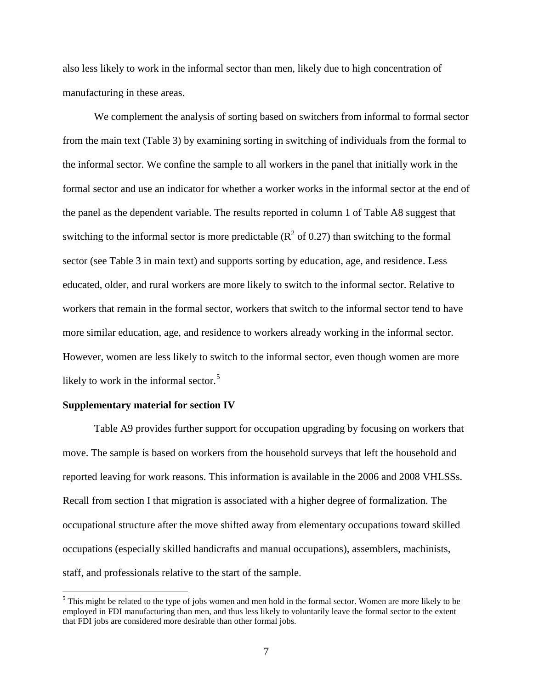also less likely to work in the informal sector than men, likely due to high concentration of manufacturing in these areas.

We complement the analysis of sorting based on switchers from informal to formal sector from the main text (Table 3) by examining sorting in switching of individuals from the formal to the informal sector. We confine the sample to all workers in the panel that initially work in the formal sector and use an indicator for whether a worker works in the informal sector at the end of the panel as the dependent variable. The results reported in column 1 of Table A8 suggest that switching to the informal sector is more predictable ( $\mathbb{R}^2$  of 0.27) than switching to the formal sector (see Table 3 in main text) and supports sorting by education, age, and residence. Less educated, older, and rural workers are more likely to switch to the informal sector. Relative to workers that remain in the formal sector, workers that switch to the informal sector tend to have more similar education, age, and residence to workers already working in the informal sector. However, women are less likely to switch to the informal sector, even though women are more likely to work in the informal sector.<sup>[5](#page-20-0)</sup>

#### **Supplementary material for section IV**

Table A9 provides further support for occupation upgrading by focusing on workers that move. The sample is based on workers from the household surveys that left the household and reported leaving for work reasons. This information is available in the 2006 and 2008 VHLSSs. Recall from section I that migration is associated with a higher degree of formalization. The occupational structure after the move shifted away from elementary occupations toward skilled occupations (especially skilled handicrafts and manual occupations), assemblers, machinists, staff, and professionals relative to the start of the sample.

<span id="page-20-0"></span><sup>&</sup>lt;sup>5</sup> This might be related to the type of jobs women and men hold in the formal sector. Women are more likely to be employed in FDI manufacturing than men, and thus less likely to voluntarily leave the formal sector to the extent that FDI jobs are considered more desirable than other formal jobs.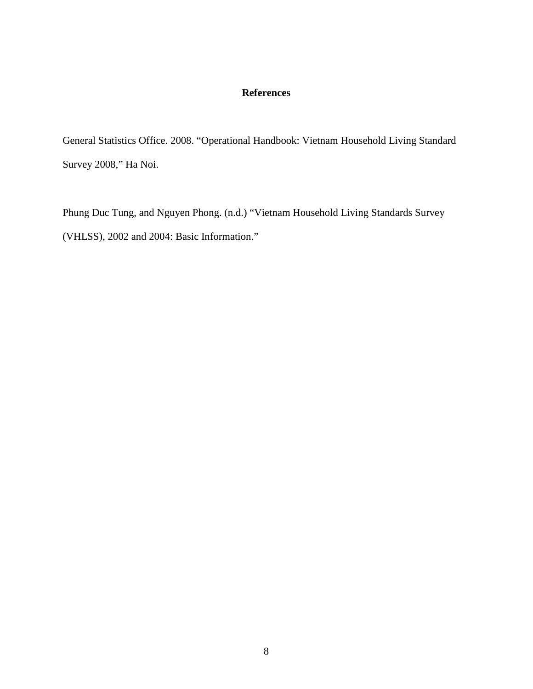# **References**

General Statistics Office. 2008. "Operational Handbook: Vietnam Household Living Standard Survey 2008," Ha Noi.

Phung Duc Tung, and Nguyen Phong. (n.d.) "Vietnam Household Living Standards Survey (VHLSS), 2002 and 2004: Basic Information."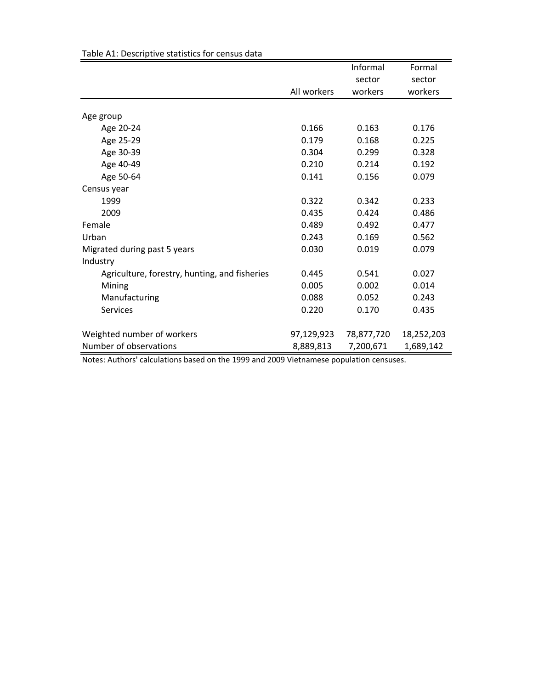|                                               |             | Informal   | Formal     |
|-----------------------------------------------|-------------|------------|------------|
|                                               |             | sector     | sector     |
|                                               | All workers | workers    | workers    |
|                                               |             |            |            |
| Age group                                     |             |            |            |
| Age 20-24                                     | 0.166       | 0.163      | 0.176      |
| Age 25-29                                     | 0.179       | 0.168      | 0.225      |
| Age 30-39                                     | 0.304       | 0.299      | 0.328      |
| Age 40-49                                     | 0.210       | 0.214      | 0.192      |
| Age 50-64                                     | 0.141       | 0.156      | 0.079      |
| Census year                                   |             |            |            |
| 1999                                          | 0.322       | 0.342      | 0.233      |
| 2009                                          | 0.435       | 0.424      | 0.486      |
| Female                                        | 0.489       | 0.492      | 0.477      |
| Urban                                         | 0.243       | 0.169      | 0.562      |
| Migrated during past 5 years                  | 0.030       | 0.019      | 0.079      |
| Industry                                      |             |            |            |
| Agriculture, forestry, hunting, and fisheries | 0.445       | 0.541      | 0.027      |
| Mining                                        | 0.005       | 0.002      | 0.014      |
| Manufacturing                                 | 0.088       | 0.052      | 0.243      |
| <b>Services</b>                               | 0.220       | 0.170      | 0.435      |
| Weighted number of workers                    | 97,129,923  | 78,877,720 | 18,252,203 |
| Number of observations                        | 8,889,813   | 7,200,671  | 1,689,142  |

Table A1: Descriptive statistics for census data

Notes: Authors' calculations based on the 1999 and 2009 Vietnamese population censuses.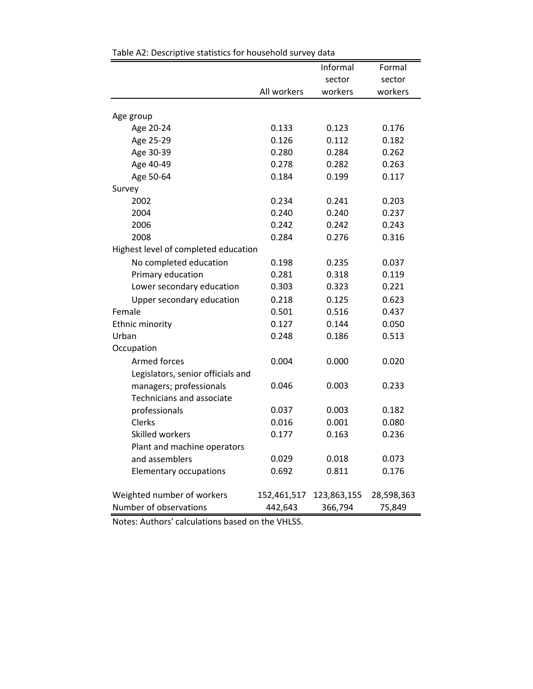|                                      |             | Informal    | Formal     |  |
|--------------------------------------|-------------|-------------|------------|--|
|                                      |             | sector      | sector     |  |
|                                      | All workers | workers     | workers    |  |
|                                      |             |             |            |  |
| Age group                            | 0.133       | 0.123       | 0.176      |  |
| Age 20-24                            | 0.126       | 0.112       |            |  |
| Age 25-29                            | 0.280       |             | 0.182      |  |
| Age 30-39                            |             | 0.284       | 0.262      |  |
| Age 40-49                            | 0.278       | 0.282       | 0.263      |  |
| Age 50-64                            | 0.184       | 0.199       | 0.117      |  |
| Survey<br>2002                       | 0.234       | 0.241       | 0.203      |  |
| 2004                                 | 0.240       | 0.240       | 0.237      |  |
| 2006                                 | 0.242       | 0.242       | 0.243      |  |
| 2008                                 | 0.284       | 0.276       | 0.316      |  |
| Highest level of completed education |             |             |            |  |
|                                      |             |             |            |  |
| No completed education               | 0.198       | 0.235       | 0.037      |  |
| Primary education                    | 0.281       | 0.318       | 0.119      |  |
| Lower secondary education            | 0.303       | 0.323       | 0.221      |  |
| Upper secondary education            | 0.218       | 0.125       | 0.623      |  |
| Female                               | 0.501       | 0.516       | 0.437      |  |
| Ethnic minority                      | 0.127       | 0.144       | 0.050      |  |
| Urban                                | 0.248       | 0.186       | 0.513      |  |
| Occupation                           |             |             |            |  |
| Armed forces                         | 0.004       | 0.000       | 0.020      |  |
| Legislators, senior officials and    |             |             |            |  |
| managers; professionals              | 0.046       | 0.003       | 0.233      |  |
| Technicians and associate            |             |             |            |  |
| professionals                        | 0.037       | 0.003       | 0.182      |  |
| Clerks                               | 0.016       | 0.001       | 0.080      |  |
| Skilled workers                      | 0.177       | 0.163       | 0.236      |  |
| Plant and machine operators          |             |             |            |  |
| and assemblers                       | 0.029       | 0.018       | 0.073      |  |
| <b>Elementary occupations</b>        | 0.692       | 0.811       | 0.176      |  |
| Weighted number of workers           | 152,461,517 | 123,863,155 | 28,598,363 |  |
| Number of observations               | 442,643     | 366,794     | 75,849     |  |

| Table A2: Descriptive statistics for household survey data |
|------------------------------------------------------------|
|------------------------------------------------------------|

Notes: Authors' calculations based on the VHLSS.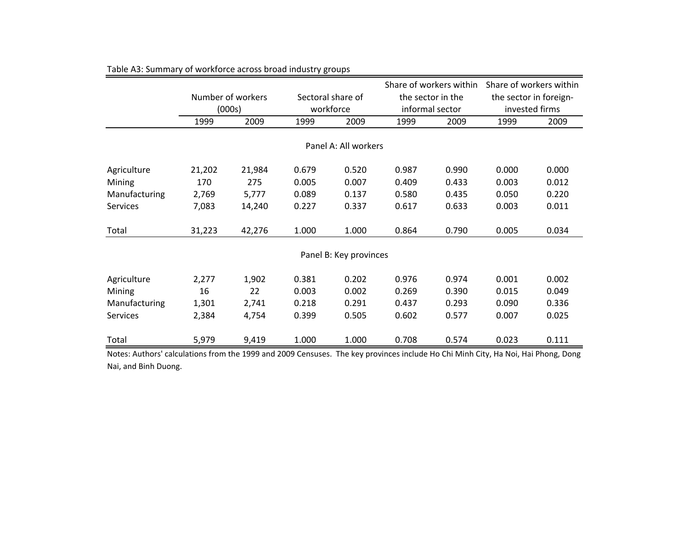|                 |        |                   |       |                              | Share of workers within |                   | Share of workers within |                        |
|-----------------|--------|-------------------|-------|------------------------------|-------------------------|-------------------|-------------------------|------------------------|
|                 |        | Number of workers |       | Sectoral share of            |                         | the sector in the |                         | the sector in foreign- |
|                 |        | (000s)            |       | workforce<br>informal sector |                         |                   |                         | invested firms         |
|                 | 1999   | 2009              | 1999  | 2009                         | 1999                    | 2009              | 1999                    | 2009                   |
|                 |        |                   |       |                              |                         |                   |                         |                        |
|                 |        |                   |       | Panel A: All workers         |                         |                   |                         |                        |
| Agriculture     | 21,202 | 21,984            | 0.679 | 0.520                        | 0.987                   | 0.990             | 0.000                   | 0.000                  |
| Mining          | 170    | 275               | 0.005 | 0.007                        | 0.409                   | 0.433             | 0.003                   | 0.012                  |
| Manufacturing   | 2,769  | 5,777             | 0.089 | 0.137                        | 0.580                   | 0.435             | 0.050                   | 0.220                  |
| <b>Services</b> | 7,083  | 14,240            | 0.227 | 0.337                        | 0.617                   | 0.633             | 0.003                   | 0.011                  |
| Total           | 31,223 | 42,276            | 1.000 | 1.000                        | 0.864                   | 0.790             | 0.005                   | 0.034                  |
|                 |        |                   |       | Panel B: Key provinces       |                         |                   |                         |                        |
| Agriculture     | 2,277  | 1,902             | 0.381 | 0.202                        | 0.976                   | 0.974             | 0.001                   | 0.002                  |
| Mining          | 16     | 22                | 0.003 | 0.002                        | 0.269                   | 0.390             | 0.015                   | 0.049                  |
| Manufacturing   | 1,301  | 2,741             | 0.218 | 0.291                        | 0.437                   | 0.293             | 0.090                   | 0.336                  |
| <b>Services</b> | 2,384  | 4,754             | 0.399 | 0.505                        | 0.602                   | 0.577             | 0.007                   | 0.025                  |
| Total           | 5,979  | 9,419             | 1.000 | 1.000                        | 0.708                   | 0.574             | 0.023                   | 0.111                  |

Table A3: Summary of workforce across broad industry groups

Notes: Authors' calculations from the 1999 and 2009 Censuses. The key provinces include Ho Chi Minh City, Ha Noi, Hai Phong, Dong Nai, and Binh Duong.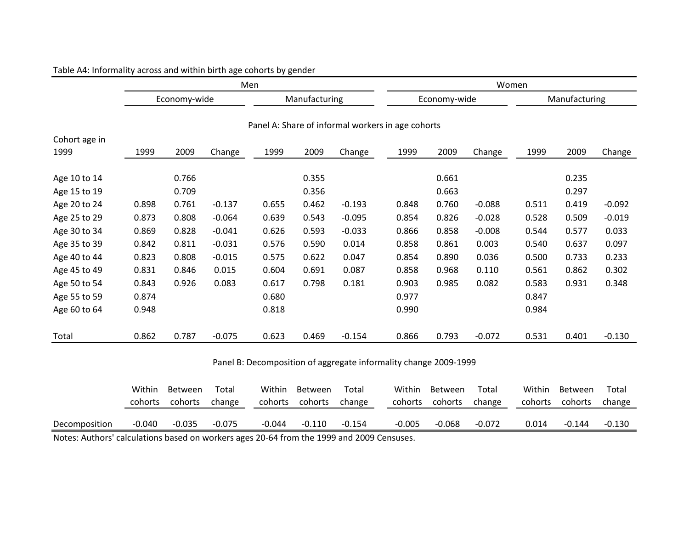|               | Men               |                    |                 |                                                                  |                    |                 |                   | Women              |                 |                   |                    |                 |
|---------------|-------------------|--------------------|-----------------|------------------------------------------------------------------|--------------------|-----------------|-------------------|--------------------|-----------------|-------------------|--------------------|-----------------|
|               |                   | Economy-wide       |                 |                                                                  | Manufacturing      |                 |                   | Economy-wide       |                 |                   | Manufacturing      |                 |
| Cohort age in |                   |                    |                 | Panel A: Share of informal workers in age cohorts                |                    |                 |                   |                    |                 |                   |                    |                 |
| 1999          | 1999              | 2009               | Change          | 1999                                                             | 2009               | Change          | 1999              | 2009               | Change          | 1999              | 2009               | Change          |
| Age 10 to 14  |                   | 0.766              |                 |                                                                  | 0.355              |                 |                   | 0.661              |                 |                   | 0.235              |                 |
| Age 15 to 19  |                   | 0.709              |                 |                                                                  | 0.356              |                 |                   | 0.663              |                 |                   | 0.297              |                 |
| Age 20 to 24  | 0.898             | 0.761              | $-0.137$        | 0.655                                                            | 0.462              | $-0.193$        | 0.848             | 0.760              | $-0.088$        | 0.511             | 0.419              | $-0.092$        |
| Age 25 to 29  | 0.873             | 0.808              | $-0.064$        | 0.639                                                            | 0.543              | $-0.095$        | 0.854             | 0.826              | $-0.028$        | 0.528             | 0.509              | $-0.019$        |
| Age 30 to 34  | 0.869             | 0.828              | $-0.041$        | 0.626                                                            | 0.593              | $-0.033$        | 0.866             | 0.858              | $-0.008$        | 0.544             | 0.577              | 0.033           |
| Age 35 to 39  | 0.842             | 0.811              | $-0.031$        | 0.576                                                            | 0.590              | 0.014           | 0.858             | 0.861              | 0.003           | 0.540             | 0.637              | 0.097           |
| Age 40 to 44  | 0.823             | 0.808              | $-0.015$        | 0.575                                                            | 0.622              | 0.047           | 0.854             | 0.890              | 0.036           | 0.500             | 0.733              | 0.233           |
| Age 45 to 49  | 0.831             | 0.846              | 0.015           | 0.604                                                            | 0.691              | 0.087           | 0.858             | 0.968              | 0.110           | 0.561             | 0.862              | 0.302           |
| Age 50 to 54  | 0.843             | 0.926              | 0.083           | 0.617                                                            | 0.798              | 0.181           | 0.903             | 0.985              | 0.082           | 0.583             | 0.931              | 0.348           |
| Age 55 to 59  | 0.874             |                    |                 | 0.680                                                            |                    |                 | 0.977             |                    |                 | 0.847             |                    |                 |
| Age 60 to 64  | 0.948             |                    |                 | 0.818                                                            |                    |                 | 0.990             |                    |                 | 0.984             |                    |                 |
| Total         | 0.862             | 0.787              | $-0.075$        | 0.623                                                            | 0.469              | $-0.154$        | 0.866             | 0.793              | $-0.072$        | 0.531             | 0.401              | $-0.130$        |
|               |                   |                    |                 | Panel B: Decomposition of aggregate informality change 2009-1999 |                    |                 |                   |                    |                 |                   |                    |                 |
|               | Within<br>cohorts | Between<br>cohorts | Total<br>change | Within<br>cohorts                                                | Between<br>cohorts | Total<br>change | Within<br>cohorts | Between<br>cohorts | Total<br>change | Within<br>cohorts | Between<br>cohorts | Total<br>change |
| Decomposition | $-0.040$          | $-0.035$           | $-0.075$        | $-0.044$                                                         | $-0.110$           | $-0.154$        | $-0.005$          | $-0.068$           | $-0.072$        | 0.014             | $-0.144$           | $-0.130$        |

## Table A4: Informality across and within birth age cohorts by gender

Notes: Authors' calculations based on workers ages 20-64 from the 1999 and 2009 Censuses.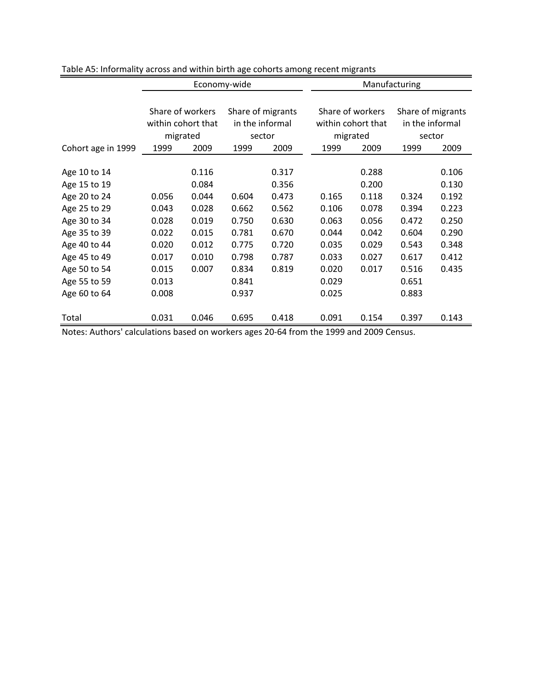|                    |                  | Economy-wide       |       |                   |       | Manufacturing      |                   |        |  |  |
|--------------------|------------------|--------------------|-------|-------------------|-------|--------------------|-------------------|--------|--|--|
|                    |                  |                    |       |                   |       |                    |                   |        |  |  |
|                    | Share of workers |                    |       | Share of migrants |       | Share of workers   | Share of migrants |        |  |  |
|                    |                  | within cohort that |       | in the informal   |       | within cohort that | in the informal   |        |  |  |
|                    | migrated         |                    |       | sector            |       | migrated           |                   | sector |  |  |
| Cohort age in 1999 | 1999             | 2009               | 1999  | 2009              | 1999  | 2009               | 1999              | 2009   |  |  |
|                    |                  |                    |       |                   |       |                    |                   |        |  |  |
| Age 10 to 14       |                  | 0.116              |       | 0.317             |       | 0.288              |                   | 0.106  |  |  |
| Age 15 to 19       |                  | 0.084              |       | 0.356             |       | 0.200              |                   | 0.130  |  |  |
| Age 20 to 24       | 0.056            | 0.044              | 0.604 | 0.473             | 0.165 | 0.118              | 0.324             | 0.192  |  |  |
| Age 25 to 29       | 0.043            | 0.028              | 0.662 | 0.562             | 0.106 | 0.078              | 0.394             | 0.223  |  |  |
| Age 30 to 34       | 0.028            | 0.019              | 0.750 | 0.630             | 0.063 | 0.056              | 0.472             | 0.250  |  |  |
| Age 35 to 39       | 0.022            | 0.015              | 0.781 | 0.670             | 0.044 | 0.042              | 0.604             | 0.290  |  |  |
| Age 40 to 44       | 0.020            | 0.012              | 0.775 | 0.720             | 0.035 | 0.029              | 0.543             | 0.348  |  |  |
| Age 45 to 49       | 0.017            | 0.010              | 0.798 | 0.787             | 0.033 | 0.027              | 0.617             | 0.412  |  |  |
| Age 50 to 54       | 0.015            | 0.007              | 0.834 | 0.819             | 0.020 | 0.017              | 0.516             | 0.435  |  |  |
| Age 55 to 59       | 0.013            |                    | 0.841 |                   | 0.029 |                    | 0.651             |        |  |  |
| Age 60 to 64       | 0.008            |                    | 0.937 |                   | 0.025 |                    | 0.883             |        |  |  |
|                    |                  |                    |       |                   |       |                    |                   |        |  |  |
| Total              | 0.031            | 0.046              | 0.695 | 0.418             | 0.091 | 0.154              | 0.397             | 0.143  |  |  |

Table A5: Informality across and within birth age cohorts among recent migrants

Notes: Authors' calculations based on workers ages 20-64 from the 1999 and 2009 Census.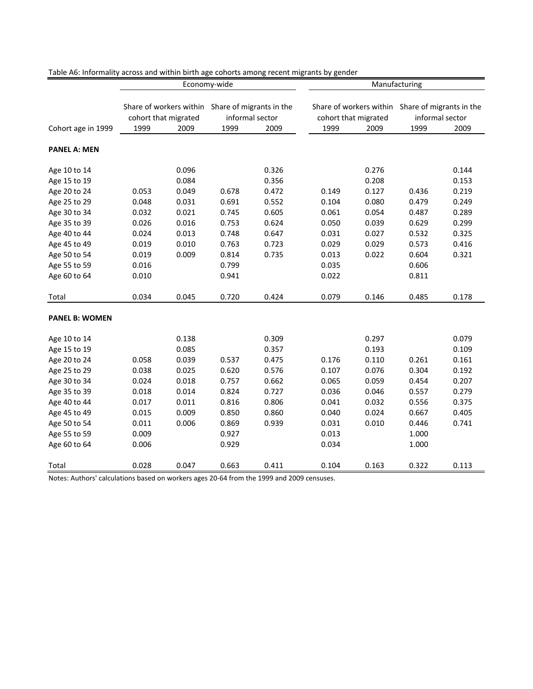|                              |                      |                | Economy-wide    |                                                  | Manufacturing        |                |                                                  |                |  |  |
|------------------------------|----------------------|----------------|-----------------|--------------------------------------------------|----------------------|----------------|--------------------------------------------------|----------------|--|--|
|                              |                      |                |                 |                                                  |                      |                |                                                  |                |  |  |
|                              |                      |                |                 | Share of workers within Share of migrants in the |                      |                | Share of workers within Share of migrants in the |                |  |  |
|                              | cohort that migrated |                | informal sector |                                                  | cohort that migrated |                | informal sector                                  |                |  |  |
| Cohort age in 1999           | 1999                 | 2009           | 1999            | 2009                                             | 1999                 | 2009           | 1999                                             | 2009           |  |  |
|                              |                      |                |                 |                                                  |                      |                |                                                  |                |  |  |
| <b>PANEL A: MEN</b>          |                      |                |                 |                                                  |                      |                |                                                  |                |  |  |
| Age 10 to 14                 |                      | 0.096          |                 | 0.326                                            |                      | 0.276          |                                                  | 0.144          |  |  |
| Age 15 to 19                 |                      | 0.084          |                 | 0.356                                            |                      | 0.208          |                                                  | 0.153          |  |  |
| Age 20 to 24                 | 0.053                | 0.049          | 0.678           | 0.472                                            | 0.149                | 0.127          | 0.436                                            | 0.219          |  |  |
| Age 25 to 29                 | 0.048                | 0.031          | 0.691           | 0.552                                            | 0.104                | 0.080          | 0.479                                            | 0.249          |  |  |
| Age 30 to 34                 | 0.032                | 0.021          | 0.745           | 0.605                                            | 0.061                | 0.054          | 0.487                                            | 0.289          |  |  |
| Age 35 to 39                 | 0.026                | 0.016          | 0.753           | 0.624                                            | 0.050                | 0.039          | 0.629                                            | 0.299          |  |  |
| Age 40 to 44                 | 0.024                | 0.013          | 0.748           | 0.647                                            | 0.031                | 0.027          | 0.532                                            | 0.325          |  |  |
| Age 45 to 49                 | 0.019                | 0.010          | 0.763           | 0.723                                            | 0.029                | 0.029          | 0.573                                            | 0.416          |  |  |
| Age 50 to 54                 | 0.019                | 0.009          | 0.814           | 0.735                                            | 0.013                | 0.022          | 0.604                                            | 0.321          |  |  |
| Age 55 to 59                 | 0.016                |                | 0.799           |                                                  | 0.035                |                | 0.606                                            |                |  |  |
| Age 60 to 64                 | 0.010                |                | 0.941           |                                                  | 0.022                |                | 0.811                                            |                |  |  |
| Total                        | 0.034                | 0.045          | 0.720           | 0.424                                            | 0.079                | 0.146          | 0.485                                            | 0.178          |  |  |
| <b>PANEL B: WOMEN</b>        |                      |                |                 |                                                  |                      |                |                                                  |                |  |  |
|                              |                      |                |                 |                                                  |                      |                |                                                  |                |  |  |
| Age 10 to 14                 |                      | 0.138          |                 | 0.309                                            |                      | 0.297          |                                                  | 0.079          |  |  |
| Age 15 to 19                 |                      | 0.085          |                 | 0.357                                            |                      | 0.193          |                                                  | 0.109          |  |  |
| Age 20 to 24<br>Age 25 to 29 | 0.058<br>0.038       | 0.039<br>0.025 | 0.537<br>0.620  | 0.475<br>0.576                                   | 0.176<br>0.107       | 0.110<br>0.076 | 0.261<br>0.304                                   | 0.161          |  |  |
| Age 30 to 34                 | 0.024                | 0.018          | 0.757           | 0.662                                            | 0.065                | 0.059          | 0.454                                            | 0.192<br>0.207 |  |  |
| Age 35 to 39                 | 0.018                | 0.014          | 0.824           | 0.727                                            | 0.036                | 0.046          | 0.557                                            | 0.279          |  |  |
| Age 40 to 44                 | 0.017                | 0.011          | 0.816           | 0.806                                            | 0.041                | 0.032          | 0.556                                            | 0.375          |  |  |
| Age 45 to 49                 | 0.015                | 0.009          | 0.850           | 0.860                                            | 0.040                | 0.024          | 0.667                                            | 0.405          |  |  |
| Age 50 to 54                 | 0.011                | 0.006          | 0.869           | 0.939                                            | 0.031                | 0.010          | 0.446                                            | 0.741          |  |  |
| Age 55 to 59                 | 0.009                |                | 0.927           |                                                  | 0.013                |                | 1.000                                            |                |  |  |
| Age 60 to 64                 | 0.006                |                | 0.929           |                                                  | 0.034                |                | 1.000                                            |                |  |  |
|                              |                      |                |                 |                                                  |                      |                |                                                  |                |  |  |
| Total                        | 0.028                | 0.047          | 0.663           | 0.411                                            | 0.104                | 0.163          | 0.322                                            | 0.113          |  |  |

Table A6: Informality across and within birth age cohorts among recent migrants by gender

Notes: Authors' calculations based on workers ages 20-64 from the 1999 and 2009 censuses.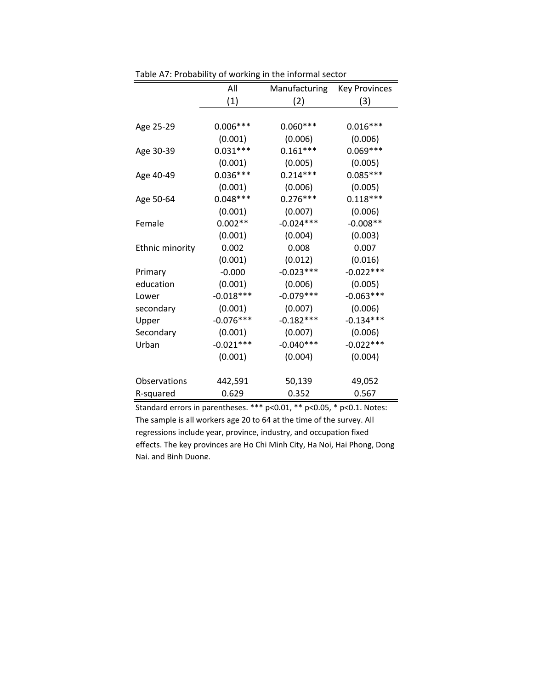|                 | All         | Manufacturing | <b>Key Provinces</b> |
|-----------------|-------------|---------------|----------------------|
|                 | (1)         | (2)           | (3)                  |
|                 |             |               |                      |
| Age 25-29       | $0.006***$  | $0.060***$    | $0.016***$           |
|                 | (0.001)     | (0.006)       | (0.006)              |
| Age 30-39       | $0.031***$  | $0.161***$    | $0.069***$           |
|                 | (0.001)     | (0.005)       | (0.005)              |
| Age 40-49       | $0.036***$  | $0.214***$    | $0.085***$           |
|                 | (0.001)     | (0.006)       | (0.005)              |
| Age 50-64       | $0.048***$  | $0.276***$    | $0.118***$           |
|                 | (0.001)     | (0.007)       | (0.006)              |
| Female          | $0.002**$   | $-0.024***$   | $-0.008**$           |
|                 | (0.001)     | (0.004)       | (0.003)              |
| Ethnic minority | 0.002       | 0.008         | 0.007                |
|                 | (0.001)     | (0.012)       | (0.016)              |
| Primary         | $-0.000$    | $-0.023***$   | $-0.022***$          |
| education       | (0.001)     | (0.006)       | (0.005)              |
| Lower           | $-0.018***$ | $-0.079***$   | $-0.063***$          |
| secondary       | (0.001)     | (0.007)       | (0.006)              |
| Upper           | $-0.076***$ | $-0.182***$   | $-0.134***$          |
| Secondary       | (0.001)     | (0.007)       | (0.006)              |
| Urban           | $-0.021***$ | $-0.040***$   | $-0.022***$          |
|                 | (0.001)     | (0.004)       | (0.004)              |
| Observations    | 442,591     | 50,139        | 49,052               |
| R-squared       | 0.629       | 0.352         | 0.567                |

Table A7: Probability of working in the informal sector

Standard errors in parentheses.  $***$  p<0.01,  $**$  p<0.05,  $*$  p<0.1. Notes: The sample is all workers age 20 to 64 at the time of the survey. All regressions include year, province, industry, and occupation fixed effects. The key provinces are Ho Chi Minh City, Ha Noi, Hai Phong, Dong Nai. and Binh Duong.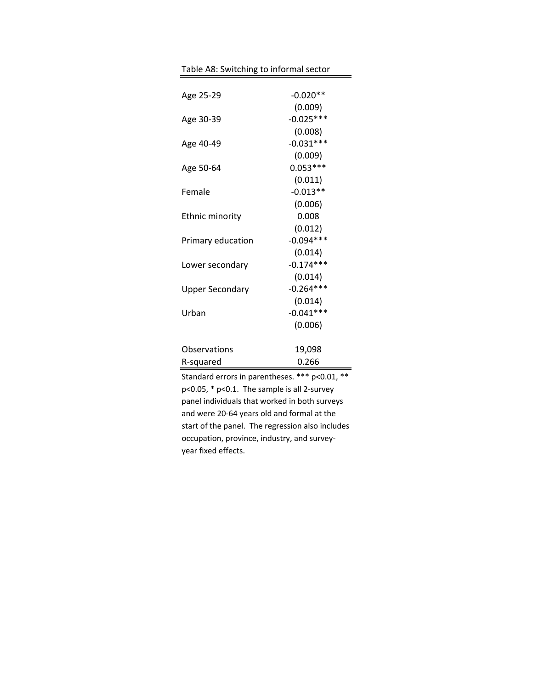| Age 25-29              | $-0.020**$  |  |
|------------------------|-------------|--|
|                        | (0.009)     |  |
| Age 30-39              | $-0.025***$ |  |
|                        | (0.008)     |  |
| Age 40-49              | $-0.031***$ |  |
|                        | (0.009)     |  |
| Age 50-64              | $0.053***$  |  |
|                        | (0.011)     |  |
| Female                 | $-0.013**$  |  |
|                        | (0.006)     |  |
| <b>Ethnic minority</b> | 0.008       |  |
|                        | (0.012)     |  |
| Primary education      | $-0.094***$ |  |
|                        | (0.014)     |  |
| Lower secondary        | $-0.174***$ |  |
|                        | (0.014)     |  |
| <b>Upper Secondary</b> | $-0.264***$ |  |
|                        | (0.014)     |  |
| Urban                  | $-0.041***$ |  |
|                        | (0.006)     |  |
| Observations           | 19,098      |  |
| R-squared              | 0.266       |  |

Standard errors in parentheses. \*\*\* p<0.01, \*\*  $p$ <0.05,  $*$   $p$ <0.1. The sample is all 2-survey panel individuals that worked in both surveys and were 20-64 years old and formal at the start of the panel. The regression also includes occupation, province, industry, and surveyyear fixed effects.

Table A8: Switching to informal sector